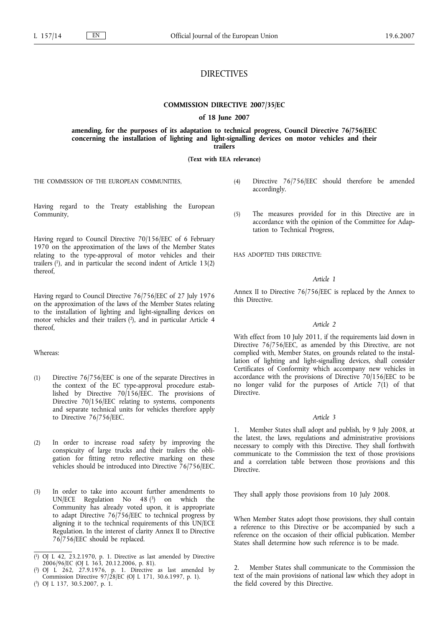# DIRECTIVES

### **COMMISSION DIRECTIVE 2007/35/EC**

**of 18 June 2007**

### **amending, for the purposes of its adaptation to technical progress, Council Directive 76/756/EEC concerning the installation of lighting and light-signalling devices on motor vehicles and their trailers**

**(Text with EEA relevance)**

THE COMMISSION OF THE EUROPEAN COMMUNITIES,

Having regard to the Treaty establishing the European Community,

Having regard to Council Directive 70/156/EEC of 6 February 1970 on the approximation of the laws of the Member States relating to the type-approval of motor vehicles and their trailers  $(1)$ , and in particular the second indent of Article 13 $(2)$ thereof,

Having regard to Council Directive 76/756/EEC of 27 July 1976 on the approximation of the laws of the Member States relating to the installation of lighting and light-signalling devices on motor vehicles and their trailers (2), and in particular Article 4 thereof,

#### Whereas:

- (1) Directive 76/756/EEC is one of the separate Directives in the context of the EC type-approval procedure established by Directive 70/156/EEC. The provisions of Directive 70/156/EEC relating to systems, components and separate technical units for vehicles therefore apply to Directive 76/756/EEC.
- (2) In order to increase road safety by improving the conspicuity of large trucks and their trailers the obligation for fitting retro reflective marking on these vehicles should be introduced into Directive 76/756/EEC.
- (3) In order to take into account further amendments to UN/ECE Regulation No 48 (3) on which the Community has already voted upon, it is appropriate to adapt Directive 76/756/EEC to technical progress by aligning it to the technical requirements of this UN/ECE Regulation. In the interest of clarity Annex II to Directive 76/756/EEC should be replaced.

( 3) OJ L 137, 30.5.2007, p. 1.

- (4) Directive 76/756/EEC should therefore be amended accordingly.
- (5) The measures provided for in this Directive are in accordance with the opinion of the Committee for Adaptation to Technical Progress,

HAS ADOPTED THIS DIRECTIVE:

#### *Article 1*

Annex II to Directive 76/756/EEC is replaced by the Annex to this Directive.

#### *Article 2*

With effect from 10 July 2011, if the requirements laid down in Directive 76/756/EEC, as amended by this Directive, are not complied with, Member States, on grounds related to the installation of lighting and light-signalling devices, shall consider Certificates of Conformity which accompany new vehicles in accordance with the provisions of Directive 70/156/EEC to be no longer valid for the purposes of Article 7(1) of that Directive.

#### *Article 3*

Member States shall adopt and publish, by 9 July 2008, at the latest, the laws, regulations and administrative provisions necessary to comply with this Directive. They shall forthwith communicate to the Commission the text of those provisions and a correlation table between those provisions and this Directive.

They shall apply those provisions from 10 July 2008.

When Member States adopt those provisions, they shall contain a reference to this Directive or be accompanied by such a reference on the occasion of their official publication. Member States shall determine how such reference is to be made.

2. Member States shall communicate to the Commission the text of the main provisions of national law which they adopt in the field covered by this Directive.

<sup>(</sup> 1) OJ L 42, 23.2.1970, p. 1. Directive as last amended by Directive 2006/96/EC (OJ L 363, 20.12.2006, p. 81).

<sup>(</sup> 2) OJ L 262, 27.9.1976, p. 1. Directive as last amended by Commission Directive 97/28/EC (OJ L 171, 30.6.1997, p. 1).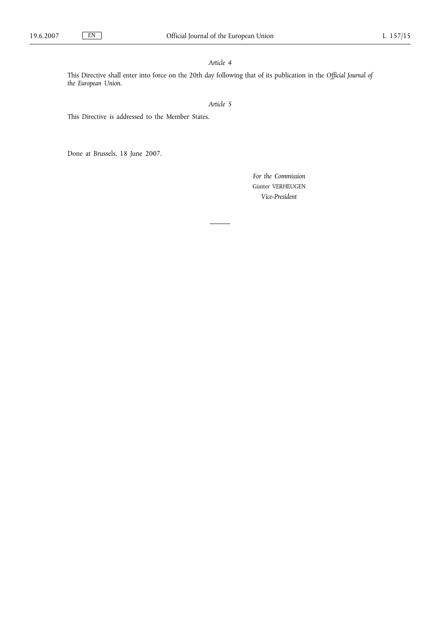# *Article 4*

This Directive shall enter into force on the 20th day following that of its publication in the *Official Journal of the European Union*.

# *Article 5*

٠

This Directive is addressed to the Member States.

Done at Brussels, 18 June 2007.

*For the Commission* Günter VERHEUGEN *Vice-President*